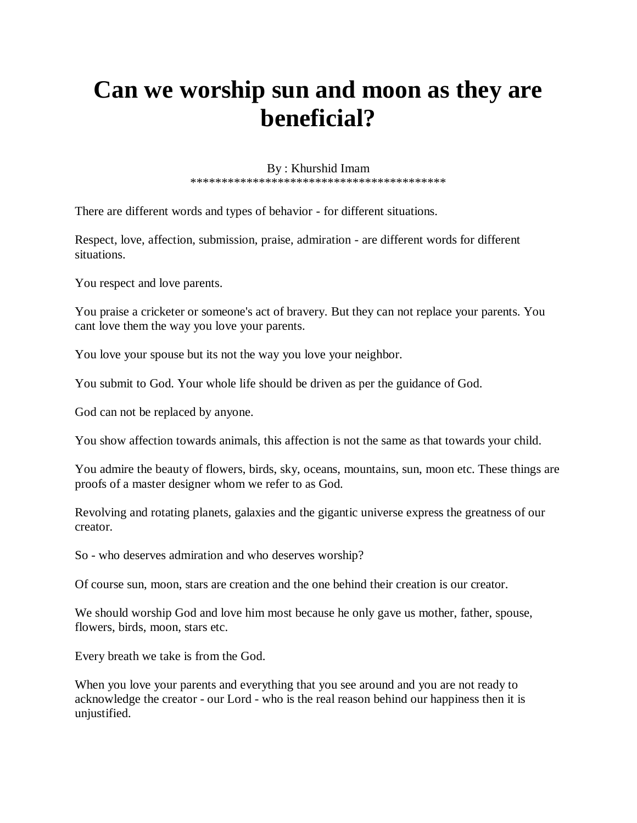## **Can we worship sun and moon as they are beneficial?**

By : Khurshid Imam \*\*\*\*\*\*\*\*\*\*\*\*\*\*\*\*\*\*\*\*\*\*\*\*\*\*\*\*\*\*\*\*\*\*\*\*\*\*\*\*\*

There are different words and types of behavior - for different situations.

Respect, love, affection, submission, praise, admiration - are different words for different situations.

You respect and love parents.

You praise a cricketer or someone's act of bravery. But they can not replace your parents. You cant love them the way you love your parents.

You love your spouse but its not the way you love your neighbor.

You submit to God. Your whole life should be driven as per the guidance of God.

God can not be replaced by anyone.

You show affection towards animals, this affection is not the same as that towards your child.

You admire the beauty of flowers, birds, sky, oceans, mountains, sun, moon etc. These things are proofs of a master designer whom we refer to as God.

Revolving and rotating planets, galaxies and the gigantic universe express the greatness of our creator.

So - who deserves admiration and who deserves worship?

Of course sun, moon, stars are creation and the one behind their creation is our creator.

We should worship God and love him most because he only gave us mother, father, spouse, flowers, birds, moon, stars etc.

Every breath we take is from the God.

When you love your parents and everything that you see around and you are not ready to acknowledge the creator - our Lord - who is the real reason behind our happiness then it is unjustified.